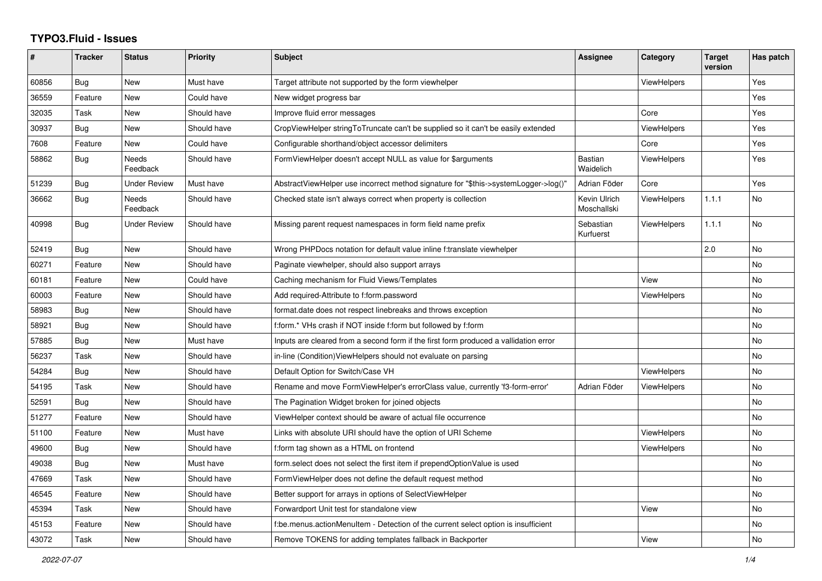## **TYPO3.Fluid - Issues**

| #     | <b>Tracker</b> | <b>Status</b>            | <b>Priority</b> | Subject                                                                              | <b>Assignee</b>             | Category           | <b>Target</b><br>version | Has patch |
|-------|----------------|--------------------------|-----------------|--------------------------------------------------------------------------------------|-----------------------------|--------------------|--------------------------|-----------|
| 60856 | Bug            | <b>New</b>               | Must have       | Target attribute not supported by the form viewhelper                                |                             | ViewHelpers        |                          | Yes       |
| 36559 | Feature        | <b>New</b>               | Could have      | New widget progress bar                                                              |                             |                    |                          | Yes       |
| 32035 | Task           | <b>New</b>               | Should have     | Improve fluid error messages                                                         |                             | Core               |                          | Yes       |
| 30937 | Bug            | New                      | Should have     | CropViewHelper stringToTruncate can't be supplied so it can't be easily extended     |                             | ViewHelpers        |                          | Yes       |
| 7608  | Feature        | New                      | Could have      | Configurable shorthand/object accessor delimiters                                    |                             | Core               |                          | Yes       |
| 58862 | <b>Bug</b>     | <b>Needs</b><br>Feedback | Should have     | FormViewHelper doesn't accept NULL as value for \$arguments                          | Bastian<br>Waidelich        | <b>ViewHelpers</b> |                          | Yes       |
| 51239 | Bug            | <b>Under Review</b>      | Must have       | AbstractViewHelper use incorrect method signature for "\$this->systemLogger->log()"  | Adrian Föder                | Core               |                          | Yes       |
| 36662 | Bug            | Needs<br>Feedback        | Should have     | Checked state isn't always correct when property is collection                       | Kevin Ulrich<br>Moschallski | <b>ViewHelpers</b> | 1.1.1                    | No        |
| 40998 | Bug            | <b>Under Review</b>      | Should have     | Missing parent request namespaces in form field name prefix                          | Sebastian<br>Kurfuerst      | ViewHelpers        | 1.1.1                    | No        |
| 52419 | Bug            | New                      | Should have     | Wrong PHPDocs notation for default value inline f:translate viewhelper               |                             |                    | 2.0                      | No        |
| 60271 | Feature        | New                      | Should have     | Paginate viewhelper, should also support arrays                                      |                             |                    |                          | <b>No</b> |
| 60181 | Feature        | <b>New</b>               | Could have      | Caching mechanism for Fluid Views/Templates                                          |                             | View               |                          | <b>No</b> |
| 60003 | Feature        | New                      | Should have     | Add required-Attribute to f:form.password                                            |                             | ViewHelpers        |                          | No        |
| 58983 | Bug            | New                      | Should have     | format.date does not respect linebreaks and throws exception                         |                             |                    |                          | No        |
| 58921 | Bug            | New                      | Should have     | f:form.* VHs crash if NOT inside f:form but followed by f:form                       |                             |                    |                          | No        |
| 57885 | Bug            | <b>New</b>               | Must have       | Inputs are cleared from a second form if the first form produced a vallidation error |                             |                    |                          | <b>No</b> |
| 56237 | Task           | <b>New</b>               | Should have     | in-line (Condition) View Helpers should not evaluate on parsing                      |                             |                    |                          | <b>No</b> |
| 54284 | Bug            | New                      | Should have     | Default Option for Switch/Case VH                                                    |                             | ViewHelpers        |                          | No        |
| 54195 | Task           | New                      | Should have     | Rename and move FormViewHelper's errorClass value, currently 'f3-form-error'         | Adrian Föder                | ViewHelpers        |                          | No        |
| 52591 | Bug            | <b>New</b>               | Should have     | The Pagination Widget broken for joined objects                                      |                             |                    |                          | <b>No</b> |
| 51277 | Feature        | New                      | Should have     | ViewHelper context should be aware of actual file occurrence                         |                             |                    |                          | No        |
| 51100 | Feature        | New                      | Must have       | Links with absolute URI should have the option of URI Scheme                         |                             | <b>ViewHelpers</b> |                          | No        |
| 49600 | Bug            | <b>New</b>               | Should have     | f:form tag shown as a HTML on frontend                                               |                             | ViewHelpers        |                          | No        |
| 49038 | Bug            | New                      | Must have       | form.select does not select the first item if prependOptionValue is used             |                             |                    |                          | No        |
| 47669 | Task           | <b>New</b>               | Should have     | FormViewHelper does not define the default request method                            |                             |                    |                          | <b>No</b> |
| 46545 | Feature        | New                      | Should have     | Better support for arrays in options of SelectViewHelper                             |                             |                    |                          | No        |
| 45394 | Task           | <b>New</b>               | Should have     | Forwardport Unit test for standalone view                                            |                             | View               |                          | <b>No</b> |
| 45153 | Feature        | <b>New</b>               | Should have     | f:be.menus.actionMenuItem - Detection of the current select option is insufficient   |                             |                    |                          | No        |
| 43072 | Task           | New                      | Should have     | Remove TOKENS for adding templates fallback in Backporter                            |                             | View               |                          | No        |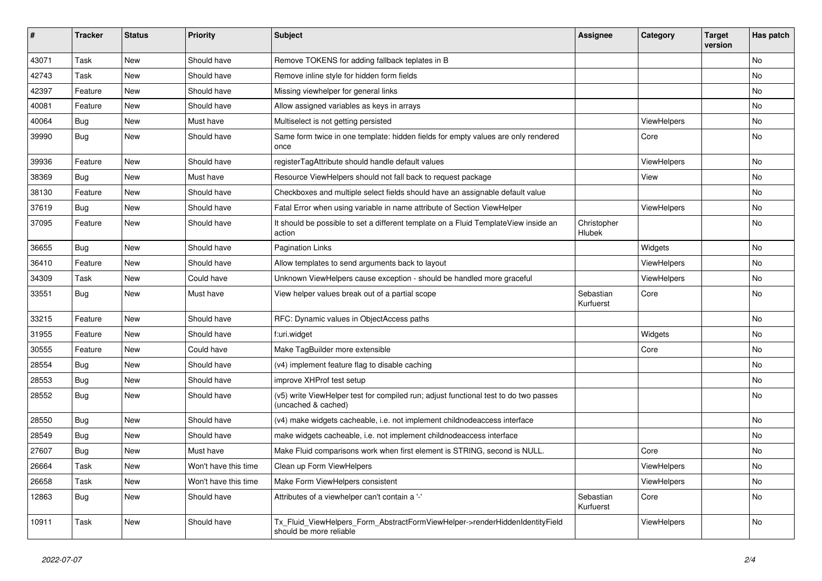| ∦     | <b>Tracker</b> | <b>Status</b> | <b>Priority</b>      | <b>Subject</b>                                                                                              | Assignee               | Category           | <b>Target</b><br>version | Has patch |
|-------|----------------|---------------|----------------------|-------------------------------------------------------------------------------------------------------------|------------------------|--------------------|--------------------------|-----------|
| 43071 | Task           | New           | Should have          | Remove TOKENS for adding fallback teplates in B                                                             |                        |                    |                          | No        |
| 42743 | Task           | New           | Should have          | Remove inline style for hidden form fields                                                                  |                        |                    |                          | No        |
| 42397 | Feature        | New           | Should have          | Missing viewhelper for general links                                                                        |                        |                    |                          | No        |
| 40081 | Feature        | New           | Should have          | Allow assigned variables as keys in arrays                                                                  |                        |                    |                          | No        |
| 40064 | Bug            | <b>New</b>    | Must have            | Multiselect is not getting persisted                                                                        |                        | ViewHelpers        |                          | No        |
| 39990 | Bug            | New           | Should have          | Same form twice in one template: hidden fields for empty values are only rendered<br>once                   |                        | Core               |                          | No        |
| 39936 | Feature        | <b>New</b>    | Should have          | registerTagAttribute should handle default values                                                           |                        | ViewHelpers        |                          | No        |
| 38369 | Bug            | New           | Must have            | Resource ViewHelpers should not fall back to request package                                                |                        | View               |                          | No        |
| 38130 | Feature        | New           | Should have          | Checkboxes and multiple select fields should have an assignable default value                               |                        |                    |                          | No        |
| 37619 | Bug            | New           | Should have          | Fatal Error when using variable in name attribute of Section ViewHelper                                     |                        | <b>ViewHelpers</b> |                          | No        |
| 37095 | Feature        | New           | Should have          | It should be possible to set a different template on a Fluid TemplateView inside an<br>action               | Christopher<br>Hlubek  |                    |                          | No        |
| 36655 | <b>Bug</b>     | <b>New</b>    | Should have          | <b>Pagination Links</b>                                                                                     |                        | Widgets            |                          | <b>No</b> |
| 36410 | Feature        | <b>New</b>    | Should have          | Allow templates to send arguments back to layout                                                            |                        | <b>ViewHelpers</b> |                          | <b>No</b> |
| 34309 | Task           | <b>New</b>    | Could have           | Unknown ViewHelpers cause exception - should be handled more graceful                                       |                        | <b>ViewHelpers</b> |                          | No        |
| 33551 | Bug            | New           | Must have            | View helper values break out of a partial scope                                                             | Sebastian<br>Kurfuerst | Core               |                          | No        |
| 33215 | Feature        | New           | Should have          | RFC: Dynamic values in ObjectAccess paths                                                                   |                        |                    |                          | No        |
| 31955 | Feature        | New           | Should have          | f:uri.widget                                                                                                |                        | Widgets            |                          | No        |
| 30555 | Feature        | New           | Could have           | Make TagBuilder more extensible                                                                             |                        | Core               |                          | No        |
| 28554 | Bug            | New           | Should have          | (v4) implement feature flag to disable caching                                                              |                        |                    |                          | No        |
| 28553 | Bug            | New           | Should have          | improve XHProf test setup                                                                                   |                        |                    |                          | No        |
| 28552 | Bug            | New           | Should have          | (v5) write ViewHelper test for compiled run; adjust functional test to do two passes<br>(uncached & cached) |                        |                    |                          | No        |
| 28550 | <b>Bug</b>     | New           | Should have          | (v4) make widgets cacheable, i.e. not implement childnodeaccess interface                                   |                        |                    |                          | No        |
| 28549 | Bug            | <b>New</b>    | Should have          | make widgets cacheable, i.e. not implement childnodeaccess interface                                        |                        |                    |                          | <b>No</b> |
| 27607 | Bug            | New           | Must have            | Make Fluid comparisons work when first element is STRING, second is NULL.                                   |                        | Core               |                          | No        |
| 26664 | Task           | New           | Won't have this time | Clean up Form ViewHelpers                                                                                   |                        | ViewHelpers        |                          | No        |
| 26658 | Task           | New           | Won't have this time | Make Form ViewHelpers consistent                                                                            |                        | ViewHelpers        |                          | No        |
| 12863 | Bug            | New           | Should have          | Attributes of a viewhelper can't contain a '-'                                                              | Sebastian<br>Kurfuerst | Core               |                          | <b>No</b> |
| 10911 | Task           | New           | Should have          | Tx Fluid ViewHelpers Form AbstractFormViewHelper->renderHiddenIdentityField<br>should be more reliable      |                        | ViewHelpers        |                          | No        |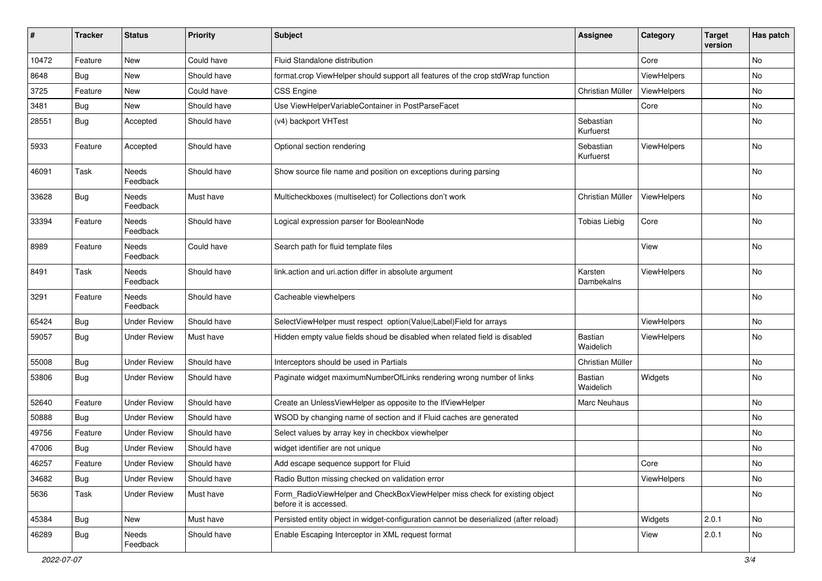| #     | <b>Tracker</b> | <b>Status</b>            | <b>Priority</b> | Subject                                                                                              | <b>Assignee</b>             | Category    | <b>Target</b><br>version | Has patch     |
|-------|----------------|--------------------------|-----------------|------------------------------------------------------------------------------------------------------|-----------------------------|-------------|--------------------------|---------------|
| 10472 | Feature        | New                      | Could have      | Fluid Standalone distribution                                                                        |                             | Core        |                          | No            |
| 8648  | Bug            | New                      | Should have     | format.crop ViewHelper should support all features of the crop stdWrap function                      |                             | ViewHelpers |                          | No            |
| 3725  | Feature        | New                      | Could have      | <b>CSS Engine</b>                                                                                    | Christian Müller            | ViewHelpers |                          | No            |
| 3481  | Bug            | <b>New</b>               | Should have     | Use ViewHelperVariableContainer in PostParseFacet                                                    |                             | Core        |                          | No            |
| 28551 | Bug            | Accepted                 | Should have     | (v4) backport VHTest                                                                                 | Sebastian<br>Kurfuerst      |             |                          | No            |
| 5933  | Feature        | Accepted                 | Should have     | Optional section rendering                                                                           | Sebastian<br>Kurfuerst      | ViewHelpers |                          | No            |
| 46091 | Task           | Needs<br>Feedback        | Should have     | Show source file name and position on exceptions during parsing                                      |                             |             |                          | No            |
| 33628 | Bug            | Needs<br>Feedback        | Must have       | Multicheckboxes (multiselect) for Collections don't work                                             | Christian Müller            | ViewHelpers |                          | No            |
| 33394 | Feature        | Needs<br>Feedback        | Should have     | Logical expression parser for BooleanNode                                                            | <b>Tobias Liebig</b>        | Core        |                          | <b>No</b>     |
| 8989  | Feature        | <b>Needs</b><br>Feedback | Could have      | Search path for fluid template files                                                                 |                             | View        |                          | <b>No</b>     |
| 8491  | Task           | Needs<br>Feedback        | Should have     | link.action and uri.action differ in absolute argument                                               | Karsten<br>Dambekalns       | ViewHelpers |                          | <b>No</b>     |
| 3291  | Feature        | Needs<br>Feedback        | Should have     | Cacheable viewhelpers                                                                                |                             |             |                          | <b>No</b>     |
| 65424 | Bug            | <b>Under Review</b>      | Should have     | SelectViewHelper must respect option(Value Label)Field for arrays                                    |                             | ViewHelpers |                          | No            |
| 59057 | Bug            | <b>Under Review</b>      | Must have       | Hidden empty value fields shoud be disabled when related field is disabled                           | <b>Bastian</b><br>Waidelich | ViewHelpers |                          | No            |
| 55008 | Bug            | <b>Under Review</b>      | Should have     | Interceptors should be used in Partials                                                              | Christian Müller            |             |                          | No            |
| 53806 | Bug            | Under Review             | Should have     | Paginate widget maximumNumberOfLinks rendering wrong number of links                                 | <b>Bastian</b><br>Waidelich | Widgets     |                          | No            |
| 52640 | Feature        | <b>Under Review</b>      | Should have     | Create an UnlessViewHelper as opposite to the IfViewHelper                                           | Marc Neuhaus                |             |                          | No            |
| 50888 | Bug            | <b>Under Review</b>      | Should have     | WSOD by changing name of section and if Fluid caches are generated                                   |                             |             |                          | <b>No</b>     |
| 49756 | Feature        | <b>Under Review</b>      | Should have     | Select values by array key in checkbox viewhelper                                                    |                             |             |                          | No            |
| 47006 | Bug            | Under Review             | Should have     | widget identifier are not unique                                                                     |                             |             |                          | No            |
| 46257 | Feature        | <b>Under Review</b>      | Should have     | Add escape sequence support for Fluid                                                                |                             | Core        |                          | $\mathsf{No}$ |
| 34682 | Bug            | <b>Under Review</b>      | Should have     | Radio Button missing checked on validation error                                                     |                             | ViewHelpers |                          | No            |
| 5636  | Task           | <b>Under Review</b>      | Must have       | Form_RadioViewHelper and CheckBoxViewHelper miss check for existing object<br>before it is accessed. |                             |             |                          | No            |
| 45384 | Bug            | New                      | Must have       | Persisted entity object in widget-configuration cannot be deserialized (after reload)                |                             | Widgets     | 2.0.1                    | No            |
| 46289 | Bug            | Needs<br>Feedback        | Should have     | Enable Escaping Interceptor in XML request format                                                    |                             | View        | 2.0.1                    | No            |